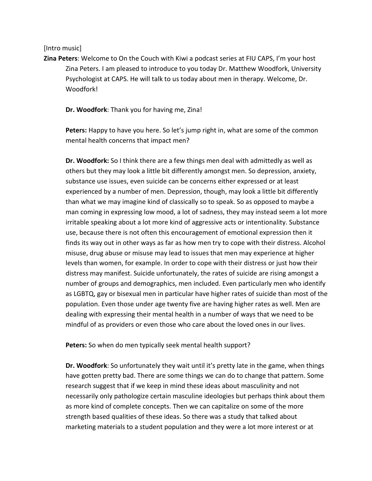## [Intro music]

**Zina Peters**: Welcome to On the Couch with Kiwi a podcast series at FIU CAPS, I'm your host Zina Peters. I am pleased to introduce to you today Dr. Matthew Woodfork, University Psychologist at CAPS. He will talk to us today about men in therapy. Welcome, Dr. Woodfork!

**Dr. Woodfork**: Thank you for having me, Zina!

**Peters:** Happy to have you here. So let's jump right in, what are some of the common mental health concerns that impact men?

**Dr. Woodfork:** So I think there are a few things men deal with admittedly as well as others but they may look a little bit differently amongst men. So depression, anxiety, substance use issues, even suicide can be concerns either expressed or at least experienced by a number of men. Depression, though, may look a little bit differently than what we may imagine kind of classically so to speak. So as opposed to maybe a man coming in expressing low mood, a lot of sadness, they may instead seem a lot more irritable speaking about a lot more kind of aggressive acts or intentionality. Substance use, because there is not often this encouragement of emotional expression then it finds its way out in other ways as far as how men try to cope with their distress. Alcohol misuse, drug abuse or misuse may lead to issues that men may experience at higher levels than women, for example. In order to cope with their distress or just how their distress may manifest. Suicide unfortunately, the rates of suicide are rising amongst a number of groups and demographics, men included. Even particularly men who identify as LGBTQ, gay or bisexual men in particular have higher rates of suicide than most of the population. Even those under age twenty five are having higher rates as well. Men are dealing with expressing their mental health in a number of ways that we need to be mindful of as providers or even those who care about the loved ones in our lives.

**Peters:** So when do men typically seek mental health support?

**Dr. Woodfork**: So unfortunately they wait until it's pretty late in the game, when things have gotten pretty bad. There are some things we can do to change that pattern. Some research suggest that if we keep in mind these ideas about masculinity and not necessarily only pathologize certain masculine ideologies but perhaps think about them as more kind of complete concepts. Then we can capitalize on some of the more strength based qualities of these ideas. So there was a study that talked about marketing materials to a student population and they were a lot more interest or at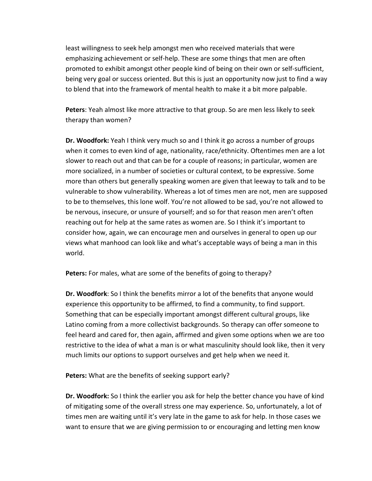least willingness to seek help amongst men who received materials that were emphasizing achievement or self-help. These are some things that men are often promoted to exhibit amongst other people kind of being on their own or self-sufficient, being very goal or success oriented. But this is just an opportunity now just to find a way to blend that into the framework of mental health to make it a bit more palpable.

**Peters**: Yeah almost like more attractive to that group. So are men less likely to seek therapy than women?

**Dr. Woodfork:** Yeah I think very much so and I think it go across a number of groups when it comes to even kind of age, nationality, race/ethnicity. Oftentimes men are a lot slower to reach out and that can be for a couple of reasons; in particular, women are more socialized, in a number of societies or cultural context, to be expressive. Some more than others but generally speaking women are given that leeway to talk and to be vulnerable to show vulnerability. Whereas a lot of times men are not, men are supposed to be to themselves, this lone wolf. You're not allowed to be sad, you're not allowed to be nervous, insecure, or unsure of yourself; and so for that reason men aren't often reaching out for help at the same rates as women are. So I think it's important to consider how, again, we can encourage men and ourselves in general to open up our views what manhood can look like and what's acceptable ways of being a man in this world.

**Peters:** For males, what are some of the benefits of going to therapy?

**Dr. Woodfork**: So I think the benefits mirror a lot of the benefits that anyone would experience this opportunity to be affirmed, to find a community, to find support. Something that can be especially important amongst different cultural groups, like Latino coming from a more collectivist backgrounds. So therapy can offer someone to feel heard and cared for, then again, affirmed and given some options when we are too restrictive to the idea of what a man is or what masculinity should look like, then it very much limits our options to support ourselves and get help when we need it.

**Peters:** What are the benefits of seeking support early?

**Dr. Woodfork:** So I think the earlier you ask for help the better chance you have of kind of mitigating some of the overall stress one may experience. So, unfortunately, a lot of times men are waiting until it's very late in the game to ask for help. In those cases we want to ensure that we are giving permission to or encouraging and letting men know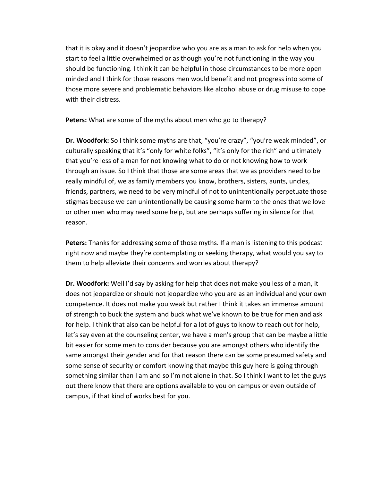that it is okay and it doesn't jeopardize who you are as a man to ask for help when you start to feel a little overwhelmed or as though you're not functioning in the way you should be functioning. I think it can be helpful in those circumstances to be more open minded and I think for those reasons men would benefit and not progress into some of those more severe and problematic behaviors like alcohol abuse or drug misuse to cope with their distress.

**Peters:** What are some of the myths about men who go to therapy?

**Dr. Woodfork:** So I think some myths are that, "you're crazy", "you're weak minded", or culturally speaking that it's "only for white folks", "it's only for the rich" and ultimately that you're less of a man for not knowing what to do or not knowing how to work through an issue. So I think that those are some areas that we as providers need to be really mindful of, we as family members you know, brothers, sisters, aunts, uncles, friends, partners, we need to be very mindful of not to unintentionally perpetuate those stigmas because we can unintentionally be causing some harm to the ones that we love or other men who may need some help, but are perhaps suffering in silence for that reason.

**Peters:** Thanks for addressing some of those myths. If a man is listening to this podcast right now and maybe they're contemplating or seeking therapy, what would you say to them to help alleviate their concerns and worries about therapy?

**Dr. Woodfork:** Well I'd say by asking for help that does not make you less of a man, it does not jeopardize or should not jeopardize who you are as an individual and your own competence. It does not make you weak but rather I think it takes an immense amount of strength to buck the system and buck what we've known to be true for men and ask for help. I think that also can be helpful for a lot of guys to know to reach out for help, let's say even at the counseling center, we have a men's group that can be maybe a little bit easier for some men to consider because you are amongst others who identify the same amongst their gender and for that reason there can be some presumed safety and some sense of security or comfort knowing that maybe this guy here is going through something similar than I am and so I'm not alone in that. So I think I want to let the guys out there know that there are options available to you on campus or even outside of campus, if that kind of works best for you.